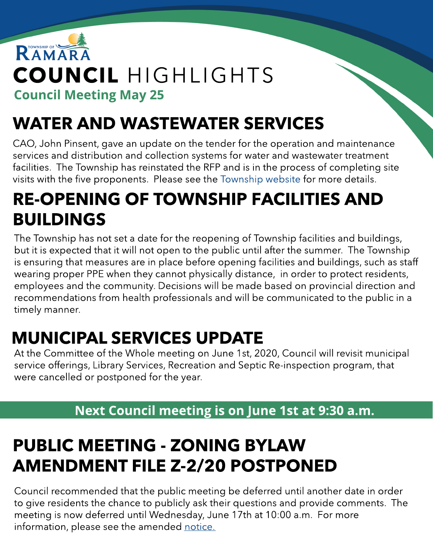# RAMARA COUNCIL HIGHLIGHTS **Council Meeting May 25**

## WATER AND WASTEWATER SERVICES

CAO, John Pinsent, gave an update on the tender for the operation and maintenance services and distribution and collection systems for water and wastewater treatment facilities. The Township has reinstated the RFP and is in the process of completing site visits with the five proponents. Please see the [Township](https://www.ramara.ca/Pages/Quotations,-Tenders-and-Request-for-Proposals.aspx) [website](https://www.ramara.ca/Pages/Quotations,-Tenders-and-Request-for-Proposals.aspx) for more details.

### RE-OPENING OF TOWNSHIP FACILITIES AND BUILDINGS

The Township has not set a date for the reopening of Township facilities and buildings, but it is expected that it will not open to the public until after the summer. The Township is ensuring that measures are in place before opening facilities and buildings, such as staff wearing proper PPE when they cannot physically distance, in order to protect residents, employees and the community. Decisions will be made based on provincial direction and recommendations from health professionals and will be communicated to the public in a timely manner.

### MUNICIPAL SERVICES UPDATE

At the Committee of the Whole meeting on June 1st, 2020, Council will revisit municipal service offerings, Library Services, Recreation and Septic Re-inspection program, that were cancelled or postponed for the year.

### Next Council meeting is on June 1st at 9:30 a.m.

### PUBLIC MEETING - ZONING BYLAW AMENDMENT FILE Z-2/20 POSTPONED

Council recommended that the public meeting be deferred until another date in order to give residents the chance to publicly ask their questions and provide comments. The meeting is now deferred until Wednesday, June 17th at 10:00 a.m. For more information, please see the amended [notice.](https://www.ramara.ca/Shared%20Documents/Notices/2020/LCS/2020-05-25Amended%20Notice%20of%20Public%20Meeting%20June%2017%202020.pdf)